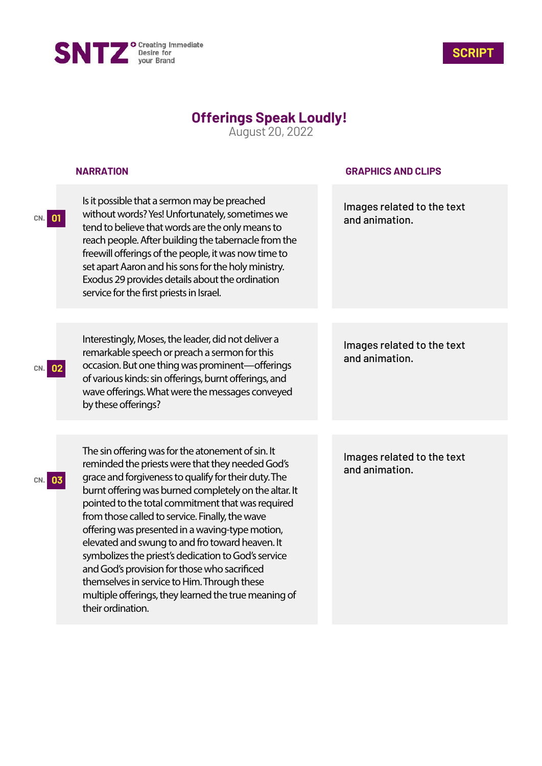



## **Offerings Speak Loudly!**

August 20, 2022

|            | <b>NARRATION</b>                                                                                                                                                                                                                                                                                                                                                                                                                                                                                                                                                                                                                                                        | <b>GRAPHICS AND CLIPS</b>                    |
|------------|-------------------------------------------------------------------------------------------------------------------------------------------------------------------------------------------------------------------------------------------------------------------------------------------------------------------------------------------------------------------------------------------------------------------------------------------------------------------------------------------------------------------------------------------------------------------------------------------------------------------------------------------------------------------------|----------------------------------------------|
| CN. 01     | Is it possible that a sermon may be preached<br>without words? Yes! Unfortunately, sometimes we<br>tend to believe that words are the only means to<br>reach people. After building the tabernacle from the<br>freewill offerings of the people, it was now time to<br>set apart Aaron and his sons for the holy ministry.<br>Exodus 29 provides details about the ordination<br>service for the first priests in Israel.                                                                                                                                                                                                                                               | Images related to the text<br>and animation. |
| 02<br>CN.  | Interestingly, Moses, the leader, did not deliver a<br>remarkable speech or preach a sermon for this<br>occasion. But one thing was prominent-offerings<br>of various kinds: sin offerings, burnt offerings, and<br>wave offerings. What were the messages conveyed<br>by these offerings?                                                                                                                                                                                                                                                                                                                                                                              | Images related to the text<br>and animation. |
| 03<br>CN.I | The sin offering was for the atonement of sin. It<br>reminded the priests were that they needed God's<br>grace and forgiveness to qualify for their duty. The<br>burnt offering was burned completely on the altar. It<br>pointed to the total commitment that was required<br>from those called to service. Finally, the wave<br>offering was presented in a waving-type motion,<br>elevated and swung to and fro toward heaven. It<br>symbolizes the priest's dedication to God's service<br>and God's provision for those who sacrificed<br>themselves in service to Him. Through these<br>multiple offerings, they learned the true meaning of<br>their ordination. | Images related to the text<br>and animation. |